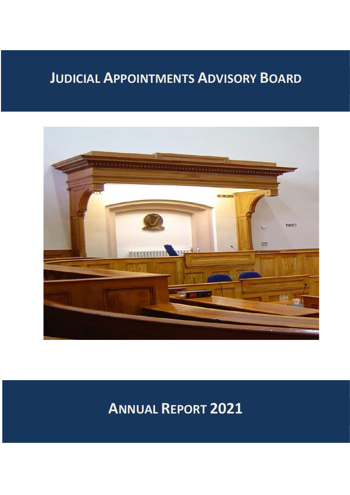# **JUDICIAL APPOINTMENTS ADVISORY BOARD**



**ANNUAL REPORT 2021**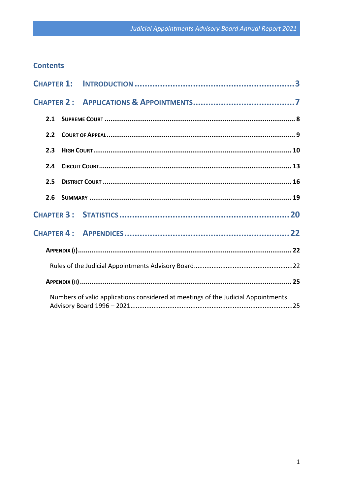# **Contents**

<span id="page-1-0"></span>

| 2.3 |                                                                                   |  |
|-----|-----------------------------------------------------------------------------------|--|
|     |                                                                                   |  |
| 2.5 |                                                                                   |  |
| 2.6 |                                                                                   |  |
|     |                                                                                   |  |
|     |                                                                                   |  |
|     |                                                                                   |  |
|     |                                                                                   |  |
|     |                                                                                   |  |
|     | Numbers of valid applications considered at meetings of the Judicial Appointments |  |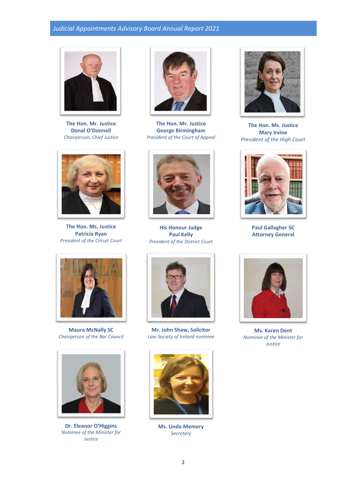

**The Hon. Mr. Justice Donal O'Donnell** *Chairperson, Chief Justice*



**The Hon. Ms. Justice Patricia Ryan**  *President of the Circuit Court*



**Maura McNally SC** *Chairperson of the Bar Council*



**Dr. Eleanor O'Higgins** *Nominee of the Minister for Justice* 



**The Hon. Mr. Justice George Birmingham**  *President of the Court of Appeal*



**His Honour Judge Paul Kelly** *President of the District Court*



**Mr. John Shaw, Solicitor** *Law Society of Ireland nominee*



**Ms. Linda Memery** *Secretary*



**The Hon. Ms. Justice Mary Irvine** *President of the High Court*



**Paul Gallagher SC Attorney General**



**Ms. Karen Dent** *Nominee of the Minister for Justice*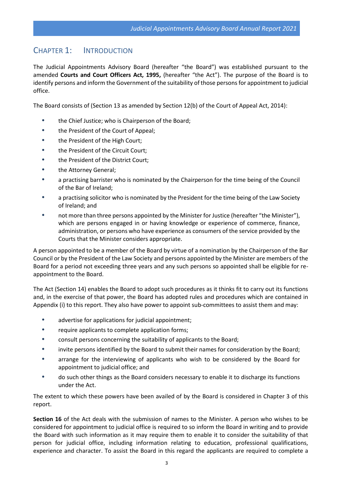# CHAPTER 1: INTRODUCTION

The Judicial Appointments Advisory Board (hereafter "the Board") was established pursuant to the amended **Courts and Court Officers Act, 1995,** (hereafter "the Act"). The purpose of the Board is to identify persons and inform the Government of the suitability of those persons for appointment to judicial office.

The Board consists of (Section 13 as amended by Section 12(b) of the Court of Appeal Act, 2014):

- the Chief Justice; who is Chairperson of the Board;
- the President of the Court of Appeal;
- the President of the High Court;
- the President of the Circuit Court;
- the President of the District Court;
- the Attorney General;
- a practising barrister who is nominated by the Chairperson for the time being of the Council of the Bar of Ireland;
- a practising solicitor who is nominated by the President for the time being of the Law Society of Ireland; and
- not more than three persons appointed by the Minister for Justice (hereafter "the Minister"), which are persons engaged in or having knowledge or experience of commerce, finance, administration, or persons who have experience as consumers of the service provided by the Courts that the Minister considers appropriate.

A person appointed to be a member of the Board by virtue of a nomination by the Chairperson of the Bar Council or by the President of the Law Society and persons appointed by the Minister are members of the Board for a period not exceeding three years and any such persons so appointed shall be eligible for reappointment to the Board.

The Act (Section 14) enables the Board to adopt such procedures as it thinks fit to carry out its functions and, in the exercise of that power, the Board has adopted rules and procedures which are contained in Appendix (i) to this report. They also have power to appoint sub-committees to assist them and may:

- advertise for applications for judicial appointment;
- require applicants to complete application forms;
- consult persons concerning the suitability of applicants to the Board;
- invite persons identified by the Board to submit their names for consideration by the Board;
- arrange for the interviewing of applicants who wish to be considered by the Board for appointment to judicial office; and
- do such other things as the Board considers necessary to enable it to discharge its functions under the Act.

The extent to which these powers have been availed of by the Board is considered in Chapter 3 of this report.

**Section 16** of the Act deals with the submission of names to the Minister. A person who wishes to be considered for appointment to judicial office is required to so inform the Board in writing and to provide the Board with such information as it may require them to enable it to consider the suitability of that person for judicial office, including information relating to education, professional qualifications, experience and character. To assist the Board in this regard the applicants are required to complete a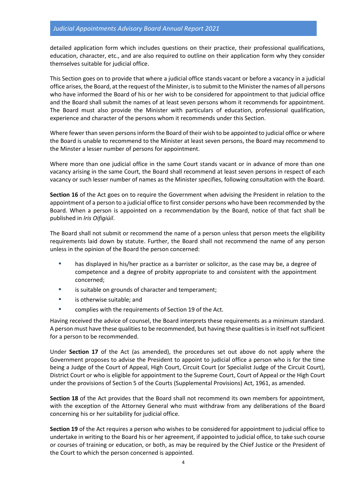detailed application form which includes questions on their practice, their professional qualifications, education, character, etc., and are also required to outline on their application form why they consider themselves suitable for judicial office.

This Section goes on to provide that where a judicial office stands vacant or before a vacancy in a judicial office arises, the Board, at the request of the Minister, is to submit to the Minister the names of all persons who have informed the Board of his or her wish to be considered for appointment to that judicial office and the Board shall submit the names of at least seven persons whom it recommends for appointment. The Board must also provide the Minister with particulars of education, professional qualification, experience and character of the persons whom it recommends under this Section.

Where fewer than seven persons inform the Board of their wish to be appointed to judicial office or where the Board is unable to recommend to the Minister at least seven persons, the Board may recommend to the Minster a lesser number of persons for appointment.

Where more than one judicial office in the same Court stands vacant or in advance of more than one vacancy arising in the same Court, the Board shall recommend at least seven persons in respect of each vacancy or such lesser number of names as the Minister specifies, following consultation with the Board.

**Section 16** of the Act goes on to require the Government when advising the President in relation to the appointment of a person to a judicial office to first consider persons who have been recommended by the Board. When a person is appointed on a recommendation by the Board, notice of that fact shall be published in *Iris Oifigiúil*.

The Board shall not submit or recommend the name of a person unless that person meets the eligibility requirements laid down by statute. Further, the Board shall not recommend the name of any person unless in the opinion of the Board the person concerned:

- has displayed in his/her practice as a barrister or solicitor, as the case may be, a degree of competence and a degree of probity appropriate to and consistent with the appointment concerned;
- is suitable on grounds of character and temperament;
- is otherwise suitable; and
- complies with the requirements of Section 19 of the Act.

Having received the advice of counsel, the Board interprets these requirements as a minimum standard. A person must have these qualities to be recommended, but having these qualities is in itself not sufficient for a person to be recommended.

Under **Section 17** of the Act (as amended), the procedures set out above do not apply where the Government proposes to advise the President to appoint to judicial office a person who is for the time being a Judge of the Court of Appeal, High Court, Circuit Court (or Specialist Judge of the Circuit Court), District Court or who is eligible for appointment to the Supreme Court, Court of Appeal or the High Court under the provisions of Section 5 of the Courts (Supplemental Provisions) Act, 1961, as amended.

**Section 18** of the Act provides that the Board shall not recommend its own members for appointment, with the exception of the Attorney General who must withdraw from any deliberations of the Board concerning his or her suitability for judicial office.

**Section 19** of the Act requires a person who wishes to be considered for appointment to judicial office to undertake in writing to the Board his or her agreement, if appointed to judicial office, to take such course or courses of training or education, or both, as may be required by the Chief Justice or the President of the Court to which the person concerned is appointed.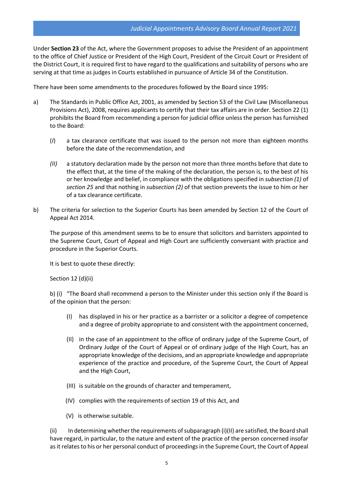Under **Section 23** of the Act, where the Government proposes to advise the President of an appointment to the office of Chief Justice or President of the High Court, President of the Circuit Court or President of the District Court, it is required first to have regard to the qualifications and suitability of persons who are serving at that time as judges in Courts established in pursuance of Article 34 of the Constitution.

There have been some amendments to the procedures followed by the Board since 1995:

- a) The Standards in Public Office Act, 2001, as amended by Section 53 of the Civil Law (Miscellaneous Provisions Act), 2008, requires applicants to certify that their tax affairs are in order. Section 22 (1) prohibits the Board from recommending a person for judicial office unless the person has furnished to the Board:
	- (*I*) a tax clearance certificate that was issued to the person not more than eighteen months before the date of the recommendation, and
	- *(II)* a statutory declaration made by the person not more than three months before that date to the effect that, at the time of the making of the declaration, the person is, to the best of his or her knowledge and belief, in compliance with the obligations specified in *subsection (1)* of *section 25* and that nothing in *subsection (2)* of that section prevents the issue to him or her of a tax clearance certificate.
- b) The criteria for selection to the Superior Courts has been amended by Section 12 of the Court of Appeal Act 2014.

The purpose of this amendment seems to be to ensure that solicitors and barristers appointed to the Supreme Court, Court of Appeal and High Court are sufficiently conversant with practice and procedure in the Superior Courts.

It is best to quote these directly:

Section 12 (d)(ii)

b) (i) "The Board shall recommend a person to the Minister under this section only if the Board is of the opinion that the person:

- (I) has displayed in his or her practice as a barrister or a solicitor a degree of competence and a degree of probity appropriate to and consistent with the appointment concerned,
- (II) in the case of an appointment to the office of ordinary judge of the Supreme Court, of Ordinary Judge of the Court of Appeal or of ordinary judge of the High Court, has an appropriate knowledge of the decisions, and an appropriate knowledge and appropriate experience of the practice and procedure, of the Supreme Court, the Court of Appeal and the High Court,
- (III) is suitable on the grounds of character and temperament,
- (IV) complies with the requirements of section 19 of this Act, and
- (V) is otherwise suitable.

(ii) In determining whether the requirements of subparagraph (i)(II) are satisfied, the Board shall have regard, in particular, to the nature and extent of the practice of the person concerned insofar as it relates to his or her personal conduct of proceedings in the Supreme Court, the Court of Appeal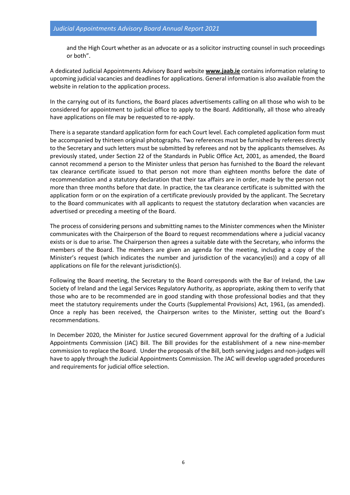and the High Court whether as an advocate or as a solicitor instructing counsel in such proceedings or both".

A dedicated Judicial Appointments Advisory Board website **[www.jaab.ie](file:///E:/www.jaab.ie)** contains information relating to upcoming judicial vacancies and deadlines for applications. General information is also available from the website in relation to the application process.

In the carrying out of its functions, the Board places advertisements calling on all those who wish to be considered for appointment to judicial office to apply to the Board. Additionally, all those who already have applications on file may be requested to re-apply.

There is a separate standard application form for each Court level. Each completed application form must be accompanied by thirteen original photographs. Two references must be furnished by referees directly to the Secretary and such letters must be submitted by referees and not by the applicants themselves. As previously stated, under Section 22 of the Standards in Public Office Act, 2001, as amended, the Board cannot recommend a person to the Minister unless that person has furnished to the Board the relevant tax clearance certificate issued to that person not more than eighteen months before the date of recommendation and a statutory declaration that their tax affairs are in order, made by the person not more than three months before that date. In practice, the tax clearance certificate is submitted with the application form or on the expiration of a certificate previously provided by the applicant. The Secretary to the Board communicates with all applicants to request the statutory declaration when vacancies are advertised or preceding a meeting of the Board.

The process of considering persons and submitting names to the Minister commences when the Minister communicates with the Chairperson of the Board to request recommendations where a judicial vacancy exists or is due to arise. The Chairperson then agrees a suitable date with the Secretary, who informs the members of the Board. The members are given an agenda for the meeting, including a copy of the Minister's request (which indicates the number and jurisdiction of the vacancy(ies)) and a copy of all applications on file for the relevant jurisdiction(s).

Following the Board meeting, the Secretary to the Board corresponds with the Bar of Ireland, the Law Society of Ireland and the Legal Services Regulatory Authority, as appropriate, asking them to verify that those who are to be recommended are in good standing with those professional bodies and that they meet the statutory requirements under the Courts (Supplemental Provisions) Act, 1961, (as amended). Once a reply has been received, the Chairperson writes to the Minister, setting out the Board's recommendations.

In December 2020, the Minister for Justice secured Government approval for the drafting of a Judicial Appointments Commission (JAC) Bill. The Bill provides for the establishment of a new nine-member commission to replace the Board. Under the proposals of the Bill, both serving judges and non-judges will have to apply through the Judicial Appointments Commission. The JAC will develop upgraded procedures and requirements for judicial office selection.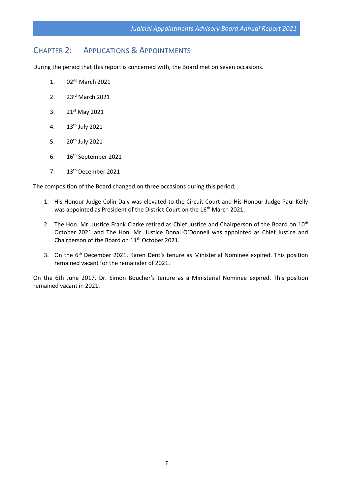# <span id="page-7-0"></span>CHAPTER 2: APPLICATIONS & APPOINTMENTS

During the period that this report is concerned with, the Board met on seven occasions.

- 1. 02nd March 2021
- 2. 23rd March 2021
- 3. 21<sup>st</sup> May 2021
- 4. 13th July 2021
- 5. 20<sup>th</sup> July 2021
- 6. 16th September 2021
- 7. 13th December 2021

The composition of the Board changed on three occasions during this period;

- 1. His Honour Judge Colin Daly was elevated to the Circuit Court and His Honour Judge Paul Kelly was appointed as President of the District Court on the 16<sup>th</sup> March 2021.
- 2. The Hon. Mr. Justice Frank Clarke retired as Chief Justice and Chairperson of the Board on 10<sup>th</sup> October 2021 and The Hon. Mr. Justice Donal O'Donnell was appointed as Chief Justice and Chairperson of the Board on 11<sup>th</sup> October 2021.
- 3. On the 6<sup>th</sup> December 2021, Karen Dent's tenure as Ministerial Nominee expired. This position remained vacant for the remainder of 2021.

On the 6th June 2017, Dr. Simon Boucher's tenure as a Ministerial Nominee expired. This position remained vacant in 2021.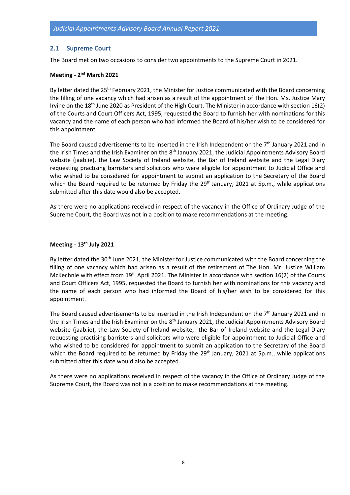#### <span id="page-8-0"></span>**2.1 Supreme Court**

<span id="page-8-1"></span>The Board met on two occasions to consider two appointments to the Supreme Court in 2021.

#### **Meeting - 2 nd March 2021**

By letter dated the 25<sup>th</sup> February 2021, the Minister for Justice communicated with the Board concerning the filling of one vacancy which had arisen as a result of the appointment of The Hon. Ms. Justice Mary Irvine on the 18<sup>th</sup> June 2020 as President of the High Court. The Minister in accordance with section 16(2) of the Courts and Court Officers Act, 1995, requested the Board to furnish her with nominations for this vacancy and the name of each person who had informed the Board of his/her wish to be considered for this appointment.

The Board caused advertisements to be inserted in the Irish Independent on the  $7<sup>th</sup>$  January 2021 and in the Irish Times and the Irish Examiner on the 8<sup>th</sup> January 2021, the Judicial Appointments Advisory Board website (jaab.ie), the Law Society of Ireland website, the Bar of Ireland website and the Legal Diary requesting practising barristers and solicitors who were eligible for appointment to Judicial Office and who wished to be considered for appointment to submit an application to the Secretary of the Board which the Board required to be returned by Friday the 29<sup>th</sup> January, 2021 at 5p.m., while applications submitted after this date would also be accepted.

As there were no applications received in respect of the vacancy in the Office of Ordinary Judge of the Supreme Court, the Board was not in a position to make recommendations at the meeting.

## **Meeting - 13th July 2021**

By letter dated the 30<sup>th</sup> June 2021, the Minister for Justice communicated with the Board concerning the filling of one vacancy which had arisen as a result of the retirement of The Hon. Mr. Justice William McKechnie with effect from 19<sup>th</sup> April 2021. The Minister in accordance with section 16(2) of the Courts and Court Officers Act, 1995, requested the Board to furnish her with nominations for this vacancy and the name of each person who had informed the Board of his/her wish to be considered for this appointment.

The Board caused advertisements to be inserted in the Irish Independent on the  $7<sup>th</sup>$  January 2021 and in the Irish Times and the Irish Examiner on the 8<sup>th</sup> January 2021, the Judicial Appointments Advisory Board website (jaab.ie), the Law Society of Ireland website, the Bar of Ireland website and the Legal Diary requesting practising barristers and solicitors who were eligible for appointment to Judicial Office and who wished to be considered for appointment to submit an application to the Secretary of the Board which the Board required to be returned by Friday the 29<sup>th</sup> January, 2021 at 5p.m., while applications submitted after this date would also be accepted.

As there were no applications received in respect of the vacancy in the Office of Ordinary Judge of the Supreme Court, the Board was not in a position to make recommendations at the meeting.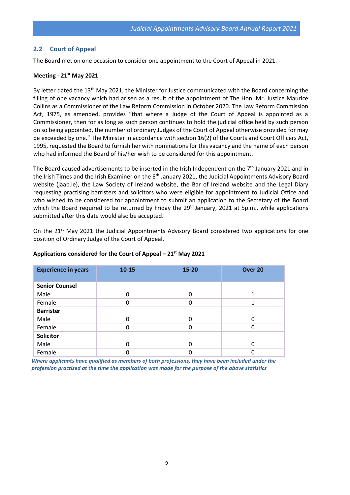#### **2.2 Court of Appeal**

The Board met on one occasion to consider one appointment to the Court of Appeal in 2021.

#### **Meeting - 21st May 2021**

By letter dated the 13<sup>th</sup> May 2021, the Minister for Justice communicated with the Board concerning the filling of one vacancy which had arisen as a result of the appointment of The Hon. Mr. Justice Maurice Collins as a Commissioner of the Law Reform Commission in October 2020. The Law Reform Commission Act, 1975, as amended, provides "that where a Judge of the Court of Appeal is appointed as a Commissioner, then for as long as such person continues to hold the judicial office held by such person on so being appointed, the number of ordinary Judges of the Court of Appeal otherwise provided for may be exceeded by one." The Minister in accordance with section 16(2) of the Courts and Court Officers Act, 1995, requested the Board to furnish her with nominations for this vacancy and the name of each person who had informed the Board of his/her wish to be considered for this appointment.

The Board caused advertisements to be inserted in the Irish Independent on the  $7<sup>th</sup>$  January 2021 and in the Irish Times and the Irish Examiner on the 8<sup>th</sup> January 2021, the Judicial Appointments Advisory Board website (jaab.ie), the Law Society of Ireland website, the Bar of Ireland website and the Legal Diary requesting practising barristers and solicitors who were eligible for appointment to Judicial Office and who wished to be considered for appointment to submit an application to the Secretary of the Board which the Board required to be returned by Friday the 29<sup>th</sup> January, 2021 at 5p.m., while applications submitted after this date would also be accepted.

On the 21<sup>st</sup> May 2021 the Judicial Appointments Advisory Board considered two applications for one position of Ordinary Judge of the Court of Appeal.

| <b>Experience in years</b> | $10 - 15$ | 15-20    | Over 20  |
|----------------------------|-----------|----------|----------|
| <b>Senior Counsel</b>      |           |          |          |
| Male                       | 0         | $\Omega$ |          |
| Female                     |           | 0        |          |
| <b>Barrister</b>           |           |          |          |
| Male                       | 0         | $\Omega$ | $\Omega$ |
| Female                     |           | 0        |          |
| <b>Solicitor</b>           |           |          |          |
| Male                       | 0         | $\Omega$ | 0        |
| Female                     |           |          |          |

#### **Applications considered for the Court of Appeal – 21st May 2021**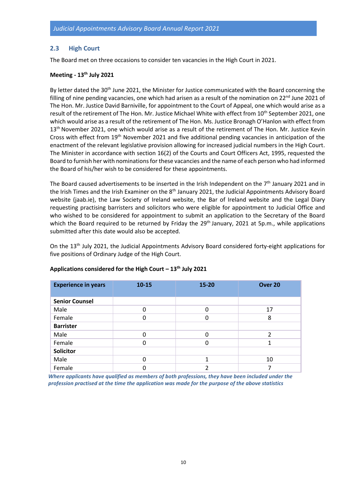## **2.3 High Court**

The Board met on three occasions to consider ten vacancies in the High Court in 2021.

#### **Meeting - 13th July 2021**

By letter dated the 30<sup>th</sup> June 2021, the Minister for Justice communicated with the Board concerning the filling of nine pending vacancies, one which had arisen as a result of the nomination on  $22^{nd}$  June 2021 of The Hon. Mr. Justice David Barniville, for appointment to the Court of Appeal, one which would arise as a result of the retirement of The Hon. Mr. Justice Michael White with effect from 10<sup>th</sup> September 2021, one which would arise as a result of the retirement of The Hon. Ms. Justice Bronagh O'Hanlon with effect from 13<sup>th</sup> November 2021, one which would arise as a result of the retirement of The Hon. Mr. Justice Kevin Cross with effect from 19<sup>th</sup> November 2021 and five additional pending vacancies in anticipation of the enactment of the relevant legislative provision allowing for increased judicial numbers in the High Court. The Minister in accordance with section 16(2) of the Courts and Court Officers Act, 1995, requested the Board to furnish her with nominations for these vacancies and the name of each person who had informed the Board of his/her wish to be considered for these appointments.

The Board caused advertisements to be inserted in the Irish Independent on the  $7<sup>th</sup>$  January 2021 and in the Irish Times and the Irish Examiner on the 8<sup>th</sup> January 2021, the Judicial Appointments Advisory Board website (jaab.ie), the Law Society of Ireland website, the Bar of Ireland website and the Legal Diary requesting practising barristers and solicitors who were eligible for appointment to Judicial Office and who wished to be considered for appointment to submit an application to the Secretary of the Board which the Board required to be returned by Friday the 29<sup>th</sup> January, 2021 at 5p.m., while applications submitted after this date would also be accepted.

On the 13<sup>th</sup> July 2021, the Judicial Appointments Advisory Board considered forty-eight applications for five positions of Ordinary Judge of the High Court.

| <b>Experience in years</b> | $10 - 15$ | $15 - 20$ | Over 20        |
|----------------------------|-----------|-----------|----------------|
| <b>Senior Counsel</b>      |           |           |                |
| Male                       | 0         | $\Omega$  | 17             |
| Female                     | 0         | 0         | 8              |
| <b>Barrister</b>           |           |           |                |
| Male                       | O         | $\Omega$  | $\overline{2}$ |
| Female                     | 0         | 0         |                |
| <b>Solicitor</b>           |           |           |                |
| Male                       | 0         | 1         | 10             |
| Female                     |           |           |                |

#### **Applications considered for the High Court – 13th July 2021**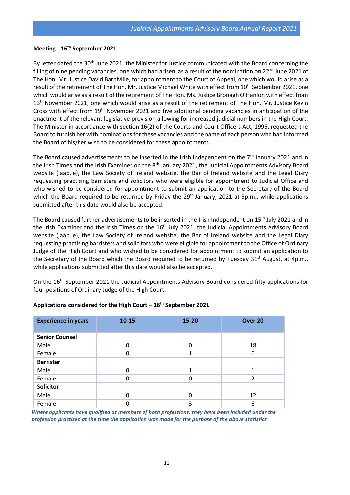#### **Meeting - 16th September 2021**

By letter dated the 30<sup>th</sup> June 2021, the Minister for Justice communicated with the Board concerning the filling of nine pending vacancies, one which had arisen as a result of the nomination on 22<sup>nd</sup> June 2021 of The Hon. Mr. Justice David Barniville, for appointment to the Court of Appeal, one which would arise as a result of the retirement of The Hon. Mr. Justice Michael White with effect from 10<sup>th</sup> September 2021, one which would arise as a result of the retirement of The Hon. Ms. Justice Bronagh O'Hanlon with effect from 13<sup>th</sup> November 2021, one which would arise as a result of the retirement of The Hon. Mr. Justice Kevin Cross with effect from 19th November 2021 and five additional pending vacancies in anticipation of the enactment of the relevant legislative provision allowing for increased judicial numbers in the High Court. The Minister in accordance with section 16(2) of the Courts and Court Officers Act, 1995, requested the Board to furnish her with nominations for these vacancies and the name of each person who had informed the Board of his/her wish to be considered for these appointments.

The Board caused advertisements to be inserted in the Irish Independent on the  $7<sup>th</sup>$  January 2021 and in the Irish Times and the Irish Examiner on the 8<sup>th</sup> January 2021, the Judicial Appointments Advisory Board website (jaab.ie), the Law Society of Ireland website, the Bar of Ireland website and the Legal Diary requesting practising barristers and solicitors who were eligible for appointment to Judicial Office and who wished to be considered for appointment to submit an application to the Secretary of the Board which the Board required to be returned by Friday the 29<sup>th</sup> January, 2021 at 5p.m., while applications submitted after this date would also be accepted.

The Board caused further advertisements to be inserted in the Irish Independent on 15<sup>th</sup> July 2021 and in the Irish Examiner and the Irish Times on the 16<sup>th</sup> July 2021, the Judicial Appointments Advisory Board website (jaab.ie), the Law Society of Ireland website, the Bar of Ireland website and the Legal Diary requesting practising barristers and solicitors who were eligible for appointment to the Office of Ordinary Judge of the High Court and who wished to be considered for appointment to submit an application to the Secretary of the Board which the Board required to be returned by Tuesday 31<sup>st</sup> August, at 4p.m., while applications submitted after this date would also be accepted.

On the 16<sup>th</sup> September 2021 the Judicial Appointments Advisory Board considered fifty applications for four positions of Ordinary Judge of the High Court.

| <b>Experience in years</b> | $10 - 15$ | 15-20 | Over 20                  |
|----------------------------|-----------|-------|--------------------------|
| <b>Senior Counsel</b>      |           |       |                          |
| Male                       | 0         | O     | 18                       |
| Female                     | 0         |       | 6                        |
| <b>Barrister</b>           |           |       |                          |
| Male                       | 0         |       |                          |
| Female                     | 0         |       | $\overline{\mathcal{L}}$ |
| <b>Solicitor</b>           |           |       |                          |
| Male                       | 0         | O     | 12                       |
| Female                     |           | 3     | 6                        |

#### **Applications considered for the High Court – 16th September 2021**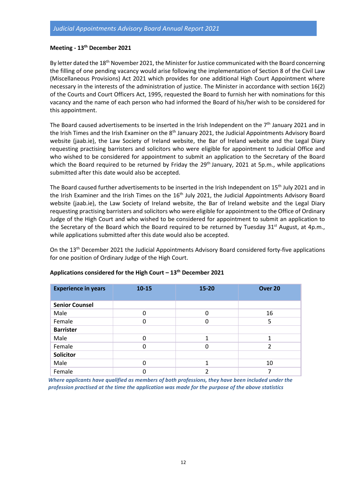#### <span id="page-12-0"></span>**Meeting - 13th December 2021**

By letter dated the 18<sup>th</sup> November 2021, the Minister for Justice communicated with the Board concerning the filling of one pending vacancy would arise following the implementation of Section 8 of the Civil Law (Miscellaneous Provisions) Act 2021 which provides for one additional High Court Appointment where necessary in the interests of the administration of justice. The Minister in accordance with section 16(2) of the Courts and Court Officers Act, 1995, requested the Board to furnish her with nominations for this vacancy and the name of each person who had informed the Board of his/her wish to be considered for this appointment.

The Board caused advertisements to be inserted in the Irish Independent on the  $7<sup>th</sup>$  January 2021 and in the Irish Times and the Irish Examiner on the 8<sup>th</sup> January 2021, the Judicial Appointments Advisory Board website (jaab.ie), the Law Society of Ireland website, the Bar of Ireland website and the Legal Diary requesting practising barristers and solicitors who were eligible for appointment to Judicial Office and who wished to be considered for appointment to submit an application to the Secretary of the Board which the Board required to be returned by Friday the  $29<sup>th</sup>$  January, 2021 at 5p.m., while applications submitted after this date would also be accepted.

The Board caused further advertisements to be inserted in the Irish Independent on 15<sup>th</sup> July 2021 and in the Irish Examiner and the Irish Times on the 16<sup>th</sup> July 2021, the Judicial Appointments Advisory Board website (jaab.ie), the Law Society of Ireland website, the Bar of Ireland website and the Legal Diary requesting practising barristers and solicitors who were eligible for appointment to the Office of Ordinary Judge of the High Court and who wished to be considered for appointment to submit an application to the Secretary of the Board which the Board required to be returned by Tuesday  $31^{st}$  August, at 4p.m., while applications submitted after this date would also be accepted.

On the 13<sup>th</sup> December 2021 the Judicial Appointments Advisory Board considered forty-five applications for one position of Ordinary Judge of the High Court.

| <b>Experience in years</b> | $10 - 15$ | 15-20    | Over 20                  |
|----------------------------|-----------|----------|--------------------------|
| <b>Senior Counsel</b>      |           |          |                          |
| Male                       | 0         | $\Omega$ | 16                       |
| Female                     |           | 0        | 5                        |
| <b>Barrister</b>           |           |          |                          |
| Male                       | 0         | 1        |                          |
| Female                     | 0         | 0        | $\overline{\mathcal{L}}$ |
| <b>Solicitor</b>           |           |          |                          |
| Male                       | ი         | 1        | 10                       |
| Female                     |           | ົາ       |                          |

#### **Applications considered for the High Court – 13th December 2021**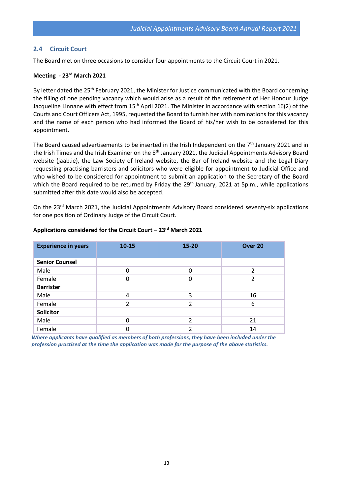#### **2.4 Circuit Court**

The Board met on three occasions to consider four appointments to the Circuit Court in 2021.

#### **Meeting - 23rd March 2021**

By letter dated the 25<sup>th</sup> February 2021, the Minister for Justice communicated with the Board concerning the filling of one pending vacancy which would arise as a result of the retirement of Her Honour Judge Jacqueline Linnane with effect from 15<sup>th</sup> April 2021. The Minister in accordance with section 16(2) of the Courts and Court Officers Act, 1995, requested the Board to furnish her with nominations for this vacancy and the name of each person who had informed the Board of his/her wish to be considered for this appointment.

The Board caused advertisements to be inserted in the Irish Independent on the 7<sup>th</sup> January 2021 and in the Irish Times and the Irish Examiner on the 8<sup>th</sup> January 2021, the Judicial Appointments Advisory Board website (jaab.ie), the Law Society of Ireland website, the Bar of Ireland website and the Legal Diary requesting practising barristers and solicitors who were eligible for appointment to Judicial Office and who wished to be considered for appointment to submit an application to the Secretary of the Board which the Board required to be returned by Friday the 29<sup>th</sup> January, 2021 at 5p.m., while applications submitted after this date would also be accepted.

On the 23<sup>rd</sup> March 2021, the Judicial Appointments Advisory Board considered seventy-six applications for one position of Ordinary Judge of the Circuit Court.

<span id="page-13-0"></span>

| <b>Experience in years</b> | $10 - 15$ | 15-20                    | Over 20 |
|----------------------------|-----------|--------------------------|---------|
|                            |           |                          |         |
| <b>Senior Counsel</b>      |           |                          |         |
| Male                       | 0         | 0                        | 2       |
| Female                     | 0         | 0                        | 2       |
| <b>Barrister</b>           |           |                          |         |
| Male                       | 4         | 3                        | 16      |
| Female                     | 2         | $\overline{\phantom{a}}$ | 6       |
| <b>Solicitor</b>           |           |                          |         |
| Male                       | 0         | 2                        | 21      |
| Female                     | 0         |                          | 14      |

#### **Applications considered for the Circuit Court – 23rd March 2021**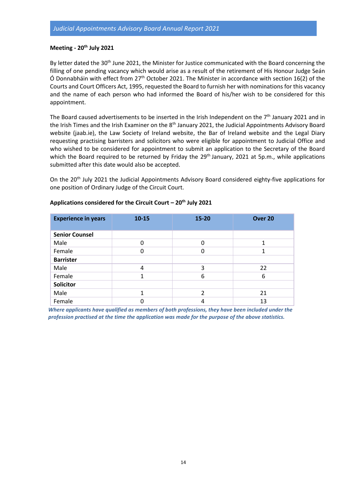#### **Meeting - 20th July 2021**

By letter dated the 30<sup>th</sup> June 2021, the Minister for Justice communicated with the Board concerning the filling of one pending vacancy which would arise as a result of the retirement of His Honour Judge Seán Ó Donnabháin with effect from 27<sup>th</sup> October 2021. The Minister in accordance with section 16(2) of the Courts and Court Officers Act, 1995, requested the Board to furnish her with nominations for this vacancy and the name of each person who had informed the Board of his/her wish to be considered for this appointment.

The Board caused advertisements to be inserted in the Irish Independent on the  $7<sup>th</sup>$  January 2021 and in the Irish Times and the Irish Examiner on the 8<sup>th</sup> January 2021, the Judicial Appointments Advisory Board website (jaab.ie), the Law Society of Ireland website, the Bar of Ireland website and the Legal Diary requesting practising barristers and solicitors who were eligible for appointment to Judicial Office and who wished to be considered for appointment to submit an application to the Secretary of the Board which the Board required to be returned by Friday the 29<sup>th</sup> January, 2021 at 5p.m., while applications submitted after this date would also be accepted.

On the 20th July 2021 the Judicial Appointments Advisory Board considered eighty-five applications for one position of Ordinary Judge of the Circuit Court.

| <b>Experience in years</b> | $10 - 15$ | 15-20 | Over 20 |
|----------------------------|-----------|-------|---------|
| <b>Senior Counsel</b>      |           |       |         |
| Male                       | 0         | 0     |         |
| Female                     | 0         | 0     |         |
| <b>Barrister</b>           |           |       |         |
| Male                       | 4         | 3     | 22      |
| Female                     |           | 6     | 6       |
| <b>Solicitor</b>           |           |       |         |
| Male                       |           | 2     | 21      |
| Female                     |           |       | 13      |

#### **Applications considered for the Circuit Court – 20th July 2021**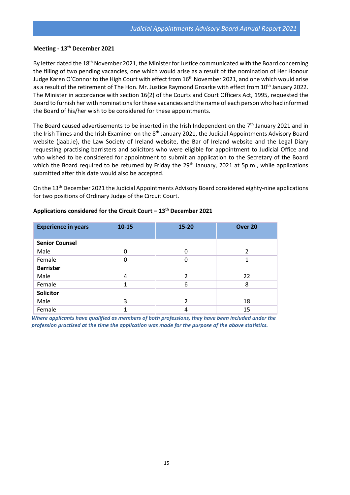## **Meeting - 13th December 2021**

By letter dated the 18<sup>th</sup> November 2021, the Minister for Justice communicated with the Board concerning the filling of two pending vacancies, one which would arise as a result of the nomination of Her Honour Judge Karen O'Connor to the High Court with effect from 16<sup>th</sup> November 2021, and one which would arise as a result of the retirement of The Hon. Mr. Justice Raymond Groarke with effect from 10<sup>th</sup> January 2022. The Minister in accordance with section 16(2) of the Courts and Court Officers Act, 1995, requested the Board to furnish her with nominations for these vacancies and the name of each person who had informed the Board of his/her wish to be considered for these appointments.

The Board caused advertisements to be inserted in the Irish Independent on the 7<sup>th</sup> January 2021 and in the Irish Times and the Irish Examiner on the 8<sup>th</sup> January 2021, the Judicial Appointments Advisory Board website (jaab.ie), the Law Society of Ireland website, the Bar of Ireland website and the Legal Diary requesting practising barristers and solicitors who were eligible for appointment to Judicial Office and who wished to be considered for appointment to submit an application to the Secretary of the Board which the Board required to be returned by Friday the 29<sup>th</sup> January, 2021 at 5p.m., while applications submitted after this date would also be accepted.

On the 13<sup>th</sup> December 2021 the Judicial Appointments Advisory Board considered eighty-nine applications for two positions of Ordinary Judge of the Circuit Court.

| <b>Experience in years</b> | $10 - 15$ | 15-20         | Over 20        |
|----------------------------|-----------|---------------|----------------|
|                            |           |               |                |
| <b>Senior Counsel</b>      |           |               |                |
| Male                       | 0         | 0             | $\mathfrak{p}$ |
| Female                     | 0         | 0             | 1              |
| <b>Barrister</b>           |           |               |                |
| Male                       | 4         | $\mathcal{P}$ | 22             |
| Female                     |           | 6             | 8              |
| <b>Solicitor</b>           |           |               |                |
| Male                       | 3         | $\mathcal{P}$ | 18             |
| Female                     |           | 4             | 15             |

#### **Applications considered for the Circuit Court – 13th December 2021**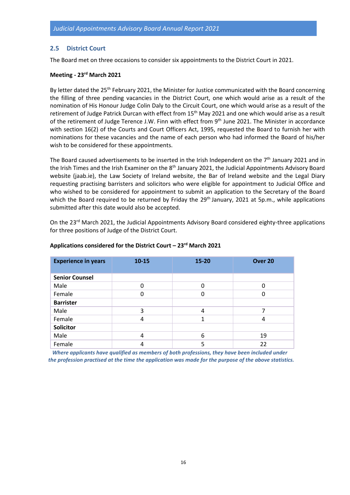#### **2.5 District Court**

The Board met on three occasions to consider six appointments to the District Court in 2021.

#### **Meeting - 23rd March 2021**

By letter dated the 25<sup>th</sup> February 2021, the Minister for Justice communicated with the Board concerning the filling of three pending vacancies in the District Court, one which would arise as a result of the nomination of His Honour Judge Colin Daly to the Circuit Court, one which would arise as a result of the retirement of Judge Patrick Durcan with effect from 15<sup>th</sup> May 2021 and one which would arise as a result of the retirement of Judge Terence J.W. Finn with effect from 9<sup>th</sup> June 2021. The Minister in accordance with section 16(2) of the Courts and Court Officers Act, 1995, requested the Board to furnish her with nominations for these vacancies and the name of each person who had informed the Board of his/her wish to be considered for these appointments.

The Board caused advertisements to be inserted in the Irish Independent on the  $7<sup>th</sup>$  January 2021 and in the Irish Times and the Irish Examiner on the 8<sup>th</sup> January 2021, the Judicial Appointments Advisory Board website (jaab.ie), the Law Society of Ireland website, the Bar of Ireland website and the Legal Diary requesting practising barristers and solicitors who were eligible for appointment to Judicial Office and who wished to be considered for appointment to submit an application to the Secretary of the Board which the Board required to be returned by Friday the 29<sup>th</sup> January, 2021 at 5p.m., while applications submitted after this date would also be accepted.

On the 23<sup>rd</sup> March 2021, the Judicial Appointments Advisory Board considered eighty-three applications for three positions of Judge of the District Court.

| <b>Experience in years</b> | $10 - 15$ | 15-20          | Over 20 |
|----------------------------|-----------|----------------|---------|
| <b>Senior Counsel</b>      |           |                |         |
| Male                       | 0         | 0              | 0       |
| Female                     | 0         | 0              | ი       |
| <b>Barrister</b>           |           |                |         |
| Male                       | 3         | $\overline{4}$ |         |
| Female                     | 4         | 1              | 4       |
| <b>Solicitor</b>           |           |                |         |
| Male                       | 4         | 6              | 19      |
| Female                     | 4         | 5              | 22      |

#### **Applications considered for the District Court – 23rd March 2021**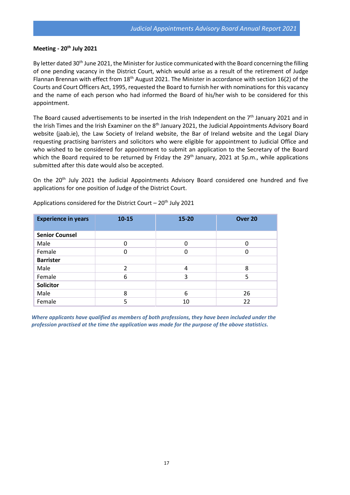#### **Meeting - 20th July 2021**

By letter dated 30<sup>th</sup> June 2021, the Minister for Justice communicated with the Board concerning the filling of one pending vacancy in the District Court, which would arise as a result of the retirement of Judge Flannan Brennan with effect from 18<sup>th</sup> August 2021. The Minister in accordance with section 16(2) of the Courts and Court Officers Act, 1995, requested the Board to furnish her with nominations for this vacancy and the name of each person who had informed the Board of his/her wish to be considered for this appointment.

The Board caused advertisements to be inserted in the Irish Independent on the 7th January 2021 and in the Irish Times and the Irish Examiner on the 8<sup>th</sup> January 2021, the Judicial Appointments Advisory Board website (jaab.ie), the Law Society of Ireland website, the Bar of Ireland website and the Legal Diary requesting practising barristers and solicitors who were eligible for appointment to Judicial Office and who wished to be considered for appointment to submit an application to the Secretary of the Board which the Board required to be returned by Friday the 29<sup>th</sup> January, 2021 at 5p.m., while applications submitted after this date would also be accepted.

On the 20<sup>th</sup> July 2021 the Judicial Appointments Advisory Board considered one hundred and five applications for one position of Judge of the District Court.

<span id="page-17-0"></span>

| <b>Experience in years</b> | $10 - 15$      | 15-20    | Over 20 |
|----------------------------|----------------|----------|---------|
| <b>Senior Counsel</b>      |                |          |         |
| Male                       | 0              | $\Omega$ | 0       |
| Female                     | 0              | $\Omega$ | 0       |
| <b>Barrister</b>           |                |          |         |
| Male                       | $\overline{2}$ | 4        | 8       |
| Female                     | 6              | 3        | 5       |
| <b>Solicitor</b>           |                |          |         |
| Male                       | 8              | 6        | 26      |
| Female                     |                | 10       | 22      |

Applications considered for the District Court –  $20<sup>th</sup>$  July 2021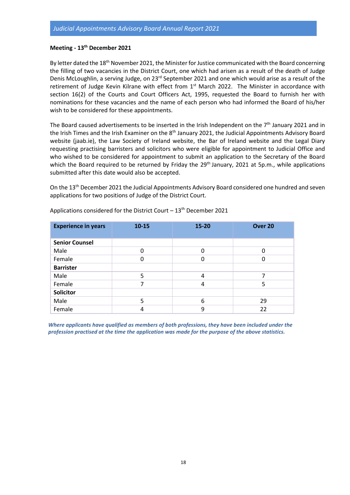#### **Meeting - 13th December 2021**

By letter dated the 18<sup>th</sup> November 2021, the Minister for Justice communicated with the Board concerning the filling of two vacancies in the District Court, one which had arisen as a result of the death of Judge Denis McLoughlin, a serving Judge, on 23<sup>rd</sup> September 2021 and one which would arise as a result of the retirement of Judge Kevin Kilrane with effect from 1<sup>st</sup> March 2022. The Minister in accordance with section 16(2) of the Courts and Court Officers Act, 1995, requested the Board to furnish her with nominations for these vacancies and the name of each person who had informed the Board of his/her wish to be considered for these appointments.

The Board caused advertisements to be inserted in the Irish Independent on the  $7<sup>th</sup>$  January 2021 and in the Irish Times and the Irish Examiner on the 8<sup>th</sup> January 2021, the Judicial Appointments Advisory Board website (jaab.ie), the Law Society of Ireland website, the Bar of Ireland website and the Legal Diary requesting practising barristers and solicitors who were eligible for appointment to Judicial Office and who wished to be considered for appointment to submit an application to the Secretary of the Board which the Board required to be returned by Friday the  $29<sup>th</sup>$  January, 2021 at 5p.m., while applications submitted after this date would also be accepted.

On the 13<sup>th</sup> December 2021 the Judicial Appointments Advisory Board considered one hundred and seven applications for two positions of Judge of the District Court.

| <b>Experience in years</b> | $10 - 15$ | 15-20    | Over 20 |
|----------------------------|-----------|----------|---------|
|                            |           |          |         |
| <b>Senior Counsel</b>      |           |          |         |
| Male                       | 0         | $\Omega$ | 0       |
| Female                     | ი         | 0        | 0       |
| <b>Barrister</b>           |           |          |         |
| Male                       | 5         | 4        | 7       |
| Female                     | 7         | 4        | 5       |
| <b>Solicitor</b>           |           |          |         |
| Male                       | 5         | 6        | 29      |
| Female                     | 4         | 9        | 22      |

Applications considered for the District Court –  $13<sup>th</sup>$  December 2021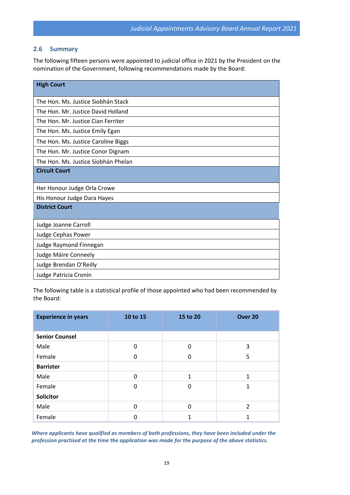## **2.6 Summary**

The following fifteen persons were appointed to judicial office in 2021 by the President on the nomination of the Government, following recommendations made by the Board:

| <b>High Court</b>                   |
|-------------------------------------|
| The Hon. Ms. Justice Siobhán Stack  |
| The Hon. Mr. Justice David Holland  |
| The Hon. Mr. Justice Cian Ferriter  |
| The Hon. Ms. Justice Emily Egan     |
| The Hon. Ms. Justice Caroline Biggs |
| The Hon. Mr. Justice Conor Dignam   |
| The Hon. Ms. Justice Siobhán Phelan |
| <b>Circuit Court</b>                |
| Her Honour Judge Orla Crowe         |
| His Honour Judge Dara Hayes         |
| <b>District Court</b>               |
| Judge Joanne Carroll                |
| Judge Cephas Power                  |
| Judge Raymond Finnegan              |
| Judge Máire Conneely                |
| Judge Brendan O'Reilly              |
| Judge Patricia Cronin               |

The following table is a statistical profile of those appointed who had been recommended by the Board:

<span id="page-19-0"></span>

| <b>Experience in years</b> | 10 to 15 | 15 to 20     | Over 20        |
|----------------------------|----------|--------------|----------------|
|                            |          |              |                |
| <b>Senior Counsel</b>      |          |              |                |
| Male                       | 0        | 0            | 3              |
| Female                     | 0        | 0            | 5              |
| <b>Barrister</b>           |          |              |                |
| Male                       | 0        | $\mathbf{1}$ | 1              |
| Female                     | 0        | 0            |                |
| <b>Solicitor</b>           |          |              |                |
| Male                       | 0        | 0            | $\overline{2}$ |
| Female                     | ი        | 1            |                |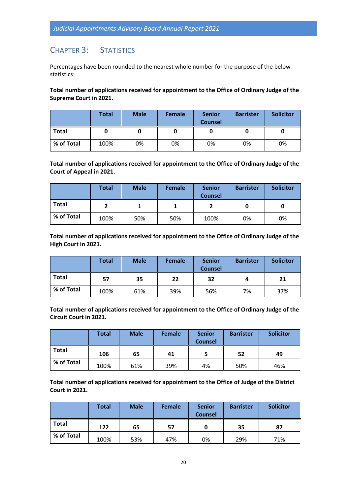# CHAPTER 3: STATISTICS

Percentages have been rounded to the nearest whole number for the purpose of the below statistics:

**Total number of applications received for appointment to the Office of Ordinary Judge of the Supreme Court in 2021.**

|              | <b>Total</b> | <b>Male</b> | <b>Female</b> | <b>Senior</b><br><b>Counsel</b> | <b>Barrister</b> | <b>Solicitor</b> |
|--------------|--------------|-------------|---------------|---------------------------------|------------------|------------------|
| <b>Total</b> |              |             |               | 0                               |                  |                  |
| % of Total   | 100%         | 0%          | 0%            | 0%                              | 0%               | 0%               |

**Total number of applications received for appointment to the Office of Ordinary Judge of the Court of Appeal in 2021.**

|              | Total | <b>Male</b> | <b>Female</b> | <b>Senior</b><br><b>Counsel</b> | <b>Barrister</b> | <b>Solicitor</b> |
|--------------|-------|-------------|---------------|---------------------------------|------------------|------------------|
| <b>Total</b> |       |             |               |                                 |                  |                  |
| % of Total   | 100%  | 50%         | 50%           | 100%                            | 0%               | 0%               |

**Total number of applications received for appointment to the Office of Ordinary Judge of the High Court in 2021.**

|              | <b>Total</b> | <b>Male</b> | <b>Female</b> | <b>Senior</b><br><b>Counsel</b> | <b>Barrister</b> | <b>Solicitor</b> |
|--------------|--------------|-------------|---------------|---------------------------------|------------------|------------------|
| <b>Total</b> | 57           | 35          | 22            | 32                              | 4                | 21               |
| % of Total   | 100%         | 61%         | 39%           | 56%                             | 7%               | 37%              |

**Total number of applications received for appointment to the Office of Ordinary Judge of the Circuit Court in 2021.**

|              | Total | <b>Male</b> | <b>Female</b> | <b>Senior</b><br><b>Counsel</b> | <b>Barrister</b> | <b>Solicitor</b> |
|--------------|-------|-------------|---------------|---------------------------------|------------------|------------------|
| <b>Total</b> | 106   | 65          | 41            |                                 | 52               | 49               |
| % of Total   | 100%  | 61%         | 39%           | 4%                              | 50%              | 46%              |

**Total number of applications received for appointment to the Office of Judge of the District Court in 2021.**

|              | <b>Total</b> | <b>Male</b> | Female | <b>Senior</b><br><b>Counsel</b> | <b>Barrister</b> | <b>Solicitor</b> |
|--------------|--------------|-------------|--------|---------------------------------|------------------|------------------|
| <b>Total</b> | 122          | 65          | 57     | O                               | 35               | 87               |
| % of Total   | 100%         | 53%         | 47%    | 0%                              | 29%              | 71%              |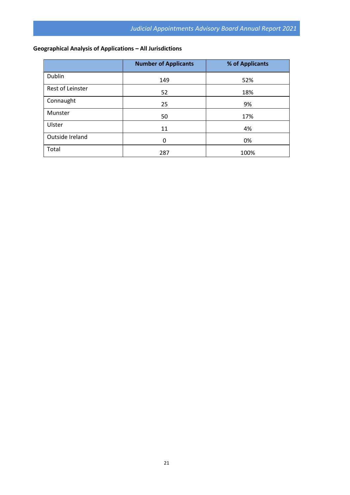# **Geographical Analysis of Applications – All Jurisdictions**

|                  | <b>Number of Applicants</b> | % of Applicants |
|------------------|-----------------------------|-----------------|
| Dublin           | 149                         | 52%             |
| Rest of Leinster | 52                          | 18%             |
| Connaught        | 25                          | 9%              |
| Munster          | 50                          | 17%             |
| Ulster           | 11                          | 4%              |
| Outside Ireland  | 0                           | 0%              |
| Total            | 287                         | 100%            |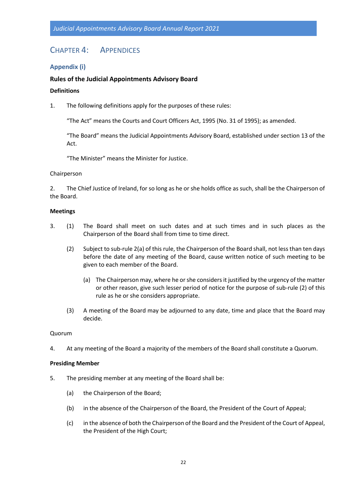# <span id="page-22-0"></span>CHAPTER 4: APPENDICES

#### <span id="page-22-1"></span>**Appendix (i)**

#### <span id="page-22-2"></span>**Rules of the Judicial Appointments Advisory Board**

#### **Definitions**

1. The following definitions apply for the purposes of these rules:

"The Act" means the Courts and Court Officers Act, 1995 (No. 31 of 1995); as amended.

"The Board" means the Judicial Appointments Advisory Board, established under section 13 of the Act.

"The Minister" means the Minister for Justice.

#### Chairperson

2. The Chief Justice of Ireland, for so long as he or she holds office as such, shall be the Chairperson of the Board.

#### **Meetings**

- 3. (1) The Board shall meet on such dates and at such times and in such places as the Chairperson of the Board shall from time to time direct.
	- (2) Subject to sub-rule 2(a) of this rule, the Chairperson of the Board shall, not less than ten days before the date of any meeting of the Board, cause written notice of such meeting to be given to each member of the Board.
		- (a) The Chairperson may, where he or she considers it justified by the urgency of the matter or other reason, give such lesser period of notice for the purpose of sub-rule (2) of this rule as he or she considers appropriate.
	- (3) A meeting of the Board may be adjourned to any date, time and place that the Board may decide.

#### Quorum

4. At any meeting of the Board a majority of the members of the Board shall constitute a Quorum.

#### **Presiding Member**

- 5. The presiding member at any meeting of the Board shall be:
	- (a) the Chairperson of the Board;
	- (b) in the absence of the Chairperson of the Board, the President of the Court of Appeal;
	- (c) in the absence of both the Chairperson of the Board and the President of the Court of Appeal, the President of the High Court;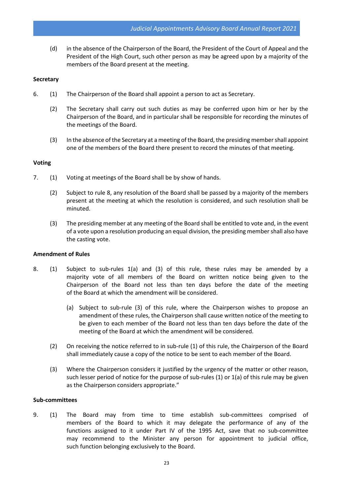(d) in the absence of the Chairperson of the Board, the President of the Court of Appeal and the President of the High Court, such other person as may be agreed upon by a majority of the members of the Board present at the meeting.

#### **Secretary**

- 6. (1) The Chairperson of the Board shall appoint a person to act as Secretary.
	- (2) The Secretary shall carry out such duties as may be conferred upon him or her by the Chairperson of the Board, and in particular shall be responsible for recording the minutes of the meetings of the Board.
	- (3) In the absence of the Secretary at a meeting of the Board, the presiding member shall appoint one of the members of the Board there present to record the minutes of that meeting.

#### **Voting**

- 7. (1) Voting at meetings of the Board shall be by show of hands.
	- (2) Subject to rule 8, any resolution of the Board shall be passed by a majority of the members present at the meeting at which the resolution is considered, and such resolution shall be minuted.
	- (3) The presiding member at any meeting of the Board shall be entitled to vote and, in the event of a vote upon a resolution producing an equal division, the presiding member shall also have the casting vote.

#### **Amendment of Rules**

- 8. (1) Subject to sub-rules 1(a) and (3) of this rule, these rules may be amended by a majority vote of all members of the Board on written notice being given to the Chairperson of the Board not less than ten days before the date of the meeting of the Board at which the amendment will be considered.
	- (a) Subject to sub-rule (3) of this rule, where the Chairperson wishes to propose an amendment of these rules, the Chairperson shall cause written notice of the meeting to be given to each member of the Board not less than ten days before the date of the meeting of the Board at which the amendment will be considered.
	- (2) On receiving the notice referred to in sub-rule (1) of this rule, the Chairperson of the Board shall immediately cause a copy of the notice to be sent to each member of the Board.
	- (3) Where the Chairperson considers it justified by the urgency of the matter or other reason, such lesser period of notice for the purpose of sub-rules (1) or 1(a) of this rule may be given as the Chairperson considers appropriate."

#### **Sub-committees**

9. (1) The Board may from time to time establish sub-committees comprised of members of the Board to which it may delegate the performance of any of the functions assigned to it under Part IV of the 1995 Act, save that no sub-committee may recommend to the Minister any person for appointment to judicial office, such function belonging exclusively to the Board.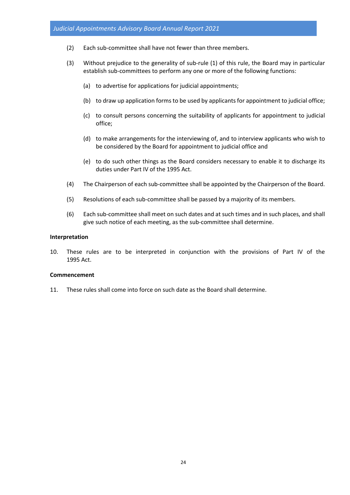- (2) Each sub-committee shall have not fewer than three members.
- (3) Without prejudice to the generality of sub-rule (1) of this rule, the Board may in particular establish sub-committees to perform any one or more of the following functions:
	- (a) to advertise for applications for judicial appointments;
	- (b) to draw up application forms to be used by applicants for appointment to judicial office;
	- (c) to consult persons concerning the suitability of applicants for appointment to judicial office;
	- (d) to make arrangements for the interviewing of, and to interview applicants who wish to be considered by the Board for appointment to judicial office and
	- (e) to do such other things as the Board considers necessary to enable it to discharge its duties under Part IV of the 1995 Act.
- (4) The Chairperson of each sub-committee shall be appointed by the Chairperson of the Board.
- (5) Resolutions of each sub-committee shall be passed by a majority of its members.
- (6) Each sub-committee shall meet on such dates and at such times and in such places, and shall give such notice of each meeting, as the sub-committee shall determine.

#### **Interpretation**

10. These rules are to be interpreted in conjunction with the provisions of Part IV of the 1995 Act.

#### **Commencement**

11. These rules shall come into force on such date as the Board shall determine.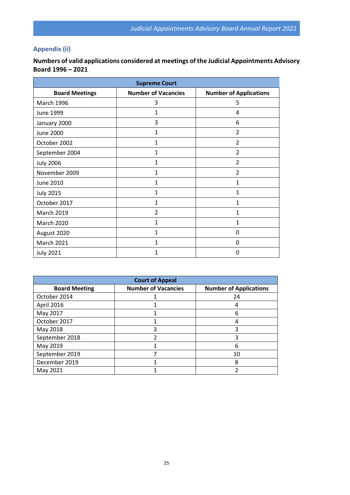# <span id="page-25-0"></span>**Appendix (ii)**

| <b>Supreme Court</b>  |                            |                               |  |  |  |
|-----------------------|----------------------------|-------------------------------|--|--|--|
| <b>Board Meetings</b> | <b>Number of Vacancies</b> | <b>Number of Applications</b> |  |  |  |
| <b>March 1996</b>     | 3                          | 5                             |  |  |  |
| June 1999             | 1                          | 4                             |  |  |  |
| January 2000          | 3                          | 6                             |  |  |  |
| <b>June 2000</b>      | 1                          | $\overline{2}$                |  |  |  |
| October 2002          | $\mathbf{1}$               | $\overline{2}$                |  |  |  |
| September 2004        | $\mathbf{1}$               | $\overline{\mathbf{c}}$       |  |  |  |
| <b>July 2006</b>      | $\mathbf{1}$               | $\overline{\mathbf{c}}$       |  |  |  |
| November 2009         | $\mathbf{1}$               | $\overline{2}$                |  |  |  |
| June 2010             | $\mathbf{1}$               | 1                             |  |  |  |
| <b>July 2015</b>      | $\mathbf{1}$               | 1                             |  |  |  |
| October 2017          | $\mathbf{1}$               | 1                             |  |  |  |
| <b>March 2019</b>     | $\overline{2}$             | 1                             |  |  |  |
| March 2020            | 1                          | 1                             |  |  |  |
| August 2020           | 1                          | 0                             |  |  |  |
| <b>March 2021</b>     | 1                          | 0                             |  |  |  |
| <b>July 2021</b>      | 1                          | 0                             |  |  |  |

# <span id="page-25-1"></span>**Numbers of valid applications considered at meetings of the Judicial Appointments Advisory Board 1996 – 2021**

| <b>Court of Appeal</b> |                            |                               |  |  |  |
|------------------------|----------------------------|-------------------------------|--|--|--|
| <b>Board Meeting</b>   | <b>Number of Vacancies</b> | <b>Number of Applications</b> |  |  |  |
| October 2014           |                            | 24                            |  |  |  |
| April 2016             |                            | 4                             |  |  |  |
| May 2017               |                            | 6                             |  |  |  |
| October 2017           |                            | 4                             |  |  |  |
| May 2018               |                            |                               |  |  |  |
| September 2018         |                            | 3                             |  |  |  |
| May 2019               |                            | 6                             |  |  |  |
| September 2019         |                            | 10                            |  |  |  |
| December 2019          |                            | 8                             |  |  |  |
| May 2021               |                            |                               |  |  |  |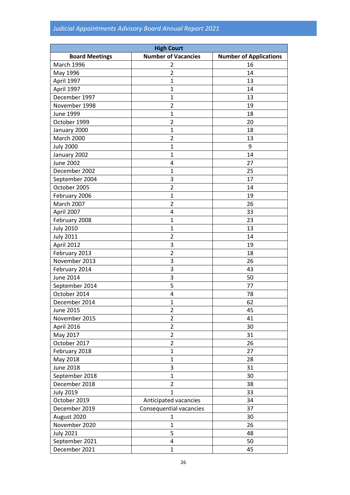| <b>High Court</b>     |                            |                               |  |  |  |
|-----------------------|----------------------------|-------------------------------|--|--|--|
| <b>Board Meetings</b> | <b>Number of Vacancies</b> | <b>Number of Applications</b> |  |  |  |
| March 1996            | 2                          | 16                            |  |  |  |
| May 1996              | $\overline{2}$             | 14                            |  |  |  |
| April 1997            | $\mathbf{1}$               | 13                            |  |  |  |
| April 1997            | $\mathbf{1}$               | 14                            |  |  |  |
| December 1997         | $\mathbf{1}$               | 13                            |  |  |  |
| November 1998         | $\overline{2}$             | 19                            |  |  |  |
| June 1999             | $\mathbf{1}$               | 18                            |  |  |  |
| October 1999          | $\overline{2}$             | 20                            |  |  |  |
| January 2000          | $\overline{1}$             | 18                            |  |  |  |
| <b>March 2000</b>     | $\overline{2}$             | 13                            |  |  |  |
| <b>July 2000</b>      | $\mathbf{1}$               | 9                             |  |  |  |
| January 2002          | $\mathbf{1}$               | 14                            |  |  |  |
| <b>June 2002</b>      | 4                          | 27                            |  |  |  |
| December 2002         | $\mathbf{1}$               | 25                            |  |  |  |
| September 2004        | 3                          | 17                            |  |  |  |
| October 2005          | $\overline{2}$             | 14                            |  |  |  |
| February 2006         | $\mathbf{1}$               | 19                            |  |  |  |
| <b>March 2007</b>     | $\overline{2}$             | 26                            |  |  |  |
| April 2007            | 4                          | 33                            |  |  |  |
|                       | $\mathbf{1}$               | 23                            |  |  |  |
| February 2008         | $\mathbf{1}$               |                               |  |  |  |
| <b>July 2010</b>      | $\overline{2}$             | 13                            |  |  |  |
| <b>July 2011</b>      |                            | 14                            |  |  |  |
| April 2012            | 3                          | 19                            |  |  |  |
| February 2013         | $\overline{2}$             | 18                            |  |  |  |
| November 2013         | 3                          | 26                            |  |  |  |
| February 2014         | 3                          | 43                            |  |  |  |
| <b>June 2014</b>      | 3                          | 50                            |  |  |  |
| September 2014        | 5                          | 77                            |  |  |  |
| October 2014          | 4                          | 78                            |  |  |  |
| December 2014         | $\mathbf{1}$               | 62                            |  |  |  |
| <b>June 2015</b>      | 2                          | 45                            |  |  |  |
| November 2015         | $\overline{2}$             | 41                            |  |  |  |
| April 2016            | $\overline{2}$             | 30                            |  |  |  |
| May 2017              | $\overline{2}$             | 31                            |  |  |  |
| October 2017          | $\overline{2}$             | 26                            |  |  |  |
| February 2018         | $\mathbf{1}$               | 27                            |  |  |  |
| May 2018              | $\mathbf{1}$               | 28                            |  |  |  |
| <b>June 2018</b>      | 3                          | 31                            |  |  |  |
| September 2018        | $\mathbf{1}$               | 30                            |  |  |  |
| December 2018         | $\overline{2}$             | 38                            |  |  |  |
| <b>July 2019</b>      | $\mathbf{1}$               | 33                            |  |  |  |
| October 2019          | Anticipated vacancies      | 34                            |  |  |  |
| December 2019         | Consequential vacancies    | 37                            |  |  |  |
| August 2020           | 1                          | 30                            |  |  |  |
| November 2020         | $\mathbf{1}$               | 26                            |  |  |  |
| <b>July 2021</b>      | 5                          | 48                            |  |  |  |
| September 2021        | 4                          | 50                            |  |  |  |
| December 2021         | $\mathbf{1}$               | 45                            |  |  |  |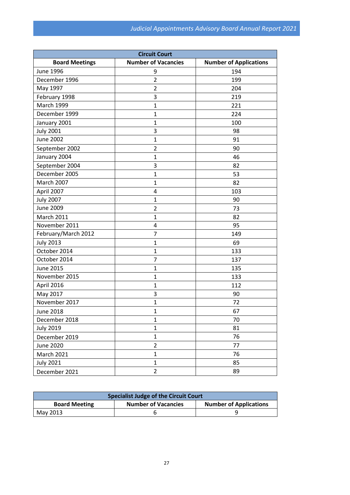| <b>Circuit Court</b>  |                            |                               |  |  |  |
|-----------------------|----------------------------|-------------------------------|--|--|--|
| <b>Board Meetings</b> | <b>Number of Vacancies</b> | <b>Number of Applications</b> |  |  |  |
| <b>June 1996</b>      | 9                          | 194                           |  |  |  |
| December 1996         | $\overline{2}$             | 199                           |  |  |  |
| May 1997              | $\overline{2}$             | 204                           |  |  |  |
| February 1998         | 3                          | 219                           |  |  |  |
| March 1999            | $\mathbf{1}$               | 221                           |  |  |  |
| December 1999         | $\mathbf{1}$               | 224                           |  |  |  |
| January 2001          | $\mathbf{1}$               | 100                           |  |  |  |
| <b>July 2001</b>      | 3                          | 98                            |  |  |  |
| <b>June 2002</b>      | $\mathbf{1}$               | 91                            |  |  |  |
| September 2002        | $\overline{2}$             | 90                            |  |  |  |
| January 2004          | $\mathbf{1}$               | 46                            |  |  |  |
| September 2004        | 3                          | 82                            |  |  |  |
| December 2005         | $\mathbf{1}$               | 53                            |  |  |  |
| <b>March 2007</b>     | $\mathbf{1}$               | 82                            |  |  |  |
| April 2007            | 4                          | 103                           |  |  |  |
| <b>July 2007</b>      | $\mathbf{1}$               | 90                            |  |  |  |
| June 2009             | $\overline{2}$             | 73                            |  |  |  |
| <b>March 2011</b>     | $\mathbf{1}$               | 82                            |  |  |  |
| November 2011         | 4                          | 95                            |  |  |  |
| February/March 2012   | 7                          | 149                           |  |  |  |
| <b>July 2013</b>      | 1                          | 69                            |  |  |  |
| October 2014          | $\mathbf{1}$               | 133                           |  |  |  |
| October 2014          | 7                          | 137                           |  |  |  |
| <b>June 2015</b>      | 1                          | 135                           |  |  |  |
| November 2015         | $\mathbf{1}$               | 133                           |  |  |  |
| April 2016            | $\mathbf{1}$               | 112                           |  |  |  |
| May 2017              | 3                          | 90                            |  |  |  |
| November 2017         | $\mathbf{1}$               | 72                            |  |  |  |
| <b>June 2018</b>      | $\mathbf{1}$               | 67                            |  |  |  |
| December 2018         | $\mathbf{1}$               | 70                            |  |  |  |
| <b>July 2019</b>      | 1                          | 81                            |  |  |  |
| December 2019         | $\mathbf{1}$               | 76                            |  |  |  |
| <b>June 2020</b>      | $\overline{2}$             | 77                            |  |  |  |
| <b>March 2021</b>     | $\mathbf{1}$               | 76                            |  |  |  |
| <b>July 2021</b>      | $\mathbf{1}$               | 85                            |  |  |  |
| December 2021         | $\overline{2}$             | 89                            |  |  |  |

| <b>Specialist Judge of the Circuit Court</b>                                        |  |  |  |  |  |
|-------------------------------------------------------------------------------------|--|--|--|--|--|
| <b>Number of Applications</b><br><b>Number of Vacancies</b><br><b>Board Meeting</b> |  |  |  |  |  |
| May 2013                                                                            |  |  |  |  |  |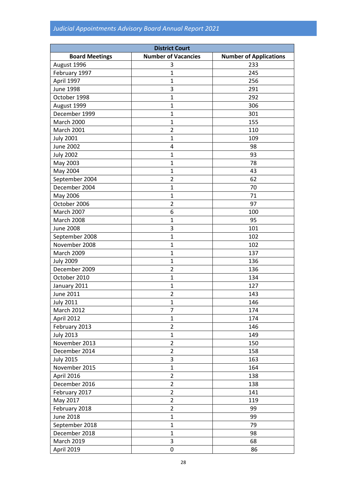| <b>Number of Vacancies</b><br><b>Number of Applications</b><br><b>Board Meetings</b><br>August 1996<br>3<br>233<br>$\mathbf{1}$<br>February 1997<br>245<br>April 1997<br>256<br>$\mathbf{1}$<br>3<br><b>June 1998</b><br>291<br>October 1998<br>$\mathbf{1}$<br>292<br>306<br>August 1999<br>1<br>December 1999<br>$\mathbf{1}$<br>301<br>March 2000<br>$\mathbf{1}$<br>155<br><b>March 2001</b><br>$\overline{2}$<br>110<br>$\mathbf{1}$<br><b>July 2001</b><br>109<br><b>June 2002</b><br>98<br>4<br><b>July 2002</b><br>93<br>$\mathbf{1}$<br>May 2003<br>$\mathbf{1}$<br>78<br>May 2004<br>$\mathbf{1}$<br>43<br>$\overline{2}$<br>September 2004<br>62<br>December 2004<br>$\mathbf{1}$<br>70<br>$\mathbf{1}$<br>71<br>May 2006<br>$\overline{2}$<br>October 2006<br>97<br>March 2007<br>6<br>100<br><b>March 2008</b><br>$\mathbf{1}$<br>95<br>3<br><b>June 2008</b><br>101<br>September 2008<br>$\mathbf{1}$<br>102<br>November 2008<br>$\mathbf{1}$<br>102<br><b>March 2009</b><br>$\mathbf{1}$<br>137<br>136<br><b>July 2009</b><br>$\mathbf{1}$<br>$\overline{2}$<br>December 2009<br>136<br>$\mathbf{1}$<br>October 2010<br>134<br>127<br>$\mathbf{1}$<br>January 2011<br>$\overline{2}$<br><b>June 2011</b><br>143<br><b>July 2011</b><br>$\mathbf{1}$<br>146<br>March 2012<br>174<br>7<br>$\mathbf{1}$<br>April 2012<br>174<br>$\overline{2}$<br>February 2013<br>146<br><b>July 2013</b><br>$\mathbf{1}$<br>149<br>$\overline{2}$<br>November 2013<br>150<br>$\overline{2}$<br>December 2014<br>158<br>3<br><b>July 2015</b><br>163<br>$\mathbf{1}$<br>November 2015<br>164<br>April 2016<br>$\overline{2}$<br>138<br>December 2016<br>$\overline{2}$<br>138<br>$\overline{2}$<br>February 2017<br>141<br>$\overline{2}$<br>May 2017<br>119<br>$\overline{2}$<br>February 2018<br>99<br>$\mathbf{1}$<br><b>June 2018</b><br>99<br>September 2018<br>$\mathbf{1}$<br>79<br>December 2018<br>$\mathbf{1}$<br>98<br><b>March 2019</b><br>3<br>68 | <b>District Court</b> |           |    |  |
|-------------------------------------------------------------------------------------------------------------------------------------------------------------------------------------------------------------------------------------------------------------------------------------------------------------------------------------------------------------------------------------------------------------------------------------------------------------------------------------------------------------------------------------------------------------------------------------------------------------------------------------------------------------------------------------------------------------------------------------------------------------------------------------------------------------------------------------------------------------------------------------------------------------------------------------------------------------------------------------------------------------------------------------------------------------------------------------------------------------------------------------------------------------------------------------------------------------------------------------------------------------------------------------------------------------------------------------------------------------------------------------------------------------------------------------------------------------------------------------------------------------------------------------------------------------------------------------------------------------------------------------------------------------------------------------------------------------------------------------------------------------------------------------------------------------------------------------------------------------------------------------------------------------------------------------------------------------|-----------------------|-----------|----|--|
|                                                                                                                                                                                                                                                                                                                                                                                                                                                                                                                                                                                                                                                                                                                                                                                                                                                                                                                                                                                                                                                                                                                                                                                                                                                                                                                                                                                                                                                                                                                                                                                                                                                                                                                                                                                                                                                                                                                                                             |                       |           |    |  |
|                                                                                                                                                                                                                                                                                                                                                                                                                                                                                                                                                                                                                                                                                                                                                                                                                                                                                                                                                                                                                                                                                                                                                                                                                                                                                                                                                                                                                                                                                                                                                                                                                                                                                                                                                                                                                                                                                                                                                             |                       |           |    |  |
|                                                                                                                                                                                                                                                                                                                                                                                                                                                                                                                                                                                                                                                                                                                                                                                                                                                                                                                                                                                                                                                                                                                                                                                                                                                                                                                                                                                                                                                                                                                                                                                                                                                                                                                                                                                                                                                                                                                                                             |                       |           |    |  |
|                                                                                                                                                                                                                                                                                                                                                                                                                                                                                                                                                                                                                                                                                                                                                                                                                                                                                                                                                                                                                                                                                                                                                                                                                                                                                                                                                                                                                                                                                                                                                                                                                                                                                                                                                                                                                                                                                                                                                             |                       |           |    |  |
|                                                                                                                                                                                                                                                                                                                                                                                                                                                                                                                                                                                                                                                                                                                                                                                                                                                                                                                                                                                                                                                                                                                                                                                                                                                                                                                                                                                                                                                                                                                                                                                                                                                                                                                                                                                                                                                                                                                                                             |                       |           |    |  |
|                                                                                                                                                                                                                                                                                                                                                                                                                                                                                                                                                                                                                                                                                                                                                                                                                                                                                                                                                                                                                                                                                                                                                                                                                                                                                                                                                                                                                                                                                                                                                                                                                                                                                                                                                                                                                                                                                                                                                             |                       |           |    |  |
|                                                                                                                                                                                                                                                                                                                                                                                                                                                                                                                                                                                                                                                                                                                                                                                                                                                                                                                                                                                                                                                                                                                                                                                                                                                                                                                                                                                                                                                                                                                                                                                                                                                                                                                                                                                                                                                                                                                                                             |                       |           |    |  |
|                                                                                                                                                                                                                                                                                                                                                                                                                                                                                                                                                                                                                                                                                                                                                                                                                                                                                                                                                                                                                                                                                                                                                                                                                                                                                                                                                                                                                                                                                                                                                                                                                                                                                                                                                                                                                                                                                                                                                             |                       |           |    |  |
|                                                                                                                                                                                                                                                                                                                                                                                                                                                                                                                                                                                                                                                                                                                                                                                                                                                                                                                                                                                                                                                                                                                                                                                                                                                                                                                                                                                                                                                                                                                                                                                                                                                                                                                                                                                                                                                                                                                                                             |                       |           |    |  |
|                                                                                                                                                                                                                                                                                                                                                                                                                                                                                                                                                                                                                                                                                                                                                                                                                                                                                                                                                                                                                                                                                                                                                                                                                                                                                                                                                                                                                                                                                                                                                                                                                                                                                                                                                                                                                                                                                                                                                             |                       |           |    |  |
|                                                                                                                                                                                                                                                                                                                                                                                                                                                                                                                                                                                                                                                                                                                                                                                                                                                                                                                                                                                                                                                                                                                                                                                                                                                                                                                                                                                                                                                                                                                                                                                                                                                                                                                                                                                                                                                                                                                                                             |                       |           |    |  |
|                                                                                                                                                                                                                                                                                                                                                                                                                                                                                                                                                                                                                                                                                                                                                                                                                                                                                                                                                                                                                                                                                                                                                                                                                                                                                                                                                                                                                                                                                                                                                                                                                                                                                                                                                                                                                                                                                                                                                             |                       |           |    |  |
|                                                                                                                                                                                                                                                                                                                                                                                                                                                                                                                                                                                                                                                                                                                                                                                                                                                                                                                                                                                                                                                                                                                                                                                                                                                                                                                                                                                                                                                                                                                                                                                                                                                                                                                                                                                                                                                                                                                                                             |                       |           |    |  |
|                                                                                                                                                                                                                                                                                                                                                                                                                                                                                                                                                                                                                                                                                                                                                                                                                                                                                                                                                                                                                                                                                                                                                                                                                                                                                                                                                                                                                                                                                                                                                                                                                                                                                                                                                                                                                                                                                                                                                             |                       |           |    |  |
|                                                                                                                                                                                                                                                                                                                                                                                                                                                                                                                                                                                                                                                                                                                                                                                                                                                                                                                                                                                                                                                                                                                                                                                                                                                                                                                                                                                                                                                                                                                                                                                                                                                                                                                                                                                                                                                                                                                                                             |                       |           |    |  |
|                                                                                                                                                                                                                                                                                                                                                                                                                                                                                                                                                                                                                                                                                                                                                                                                                                                                                                                                                                                                                                                                                                                                                                                                                                                                                                                                                                                                                                                                                                                                                                                                                                                                                                                                                                                                                                                                                                                                                             |                       |           |    |  |
|                                                                                                                                                                                                                                                                                                                                                                                                                                                                                                                                                                                                                                                                                                                                                                                                                                                                                                                                                                                                                                                                                                                                                                                                                                                                                                                                                                                                                                                                                                                                                                                                                                                                                                                                                                                                                                                                                                                                                             |                       |           |    |  |
|                                                                                                                                                                                                                                                                                                                                                                                                                                                                                                                                                                                                                                                                                                                                                                                                                                                                                                                                                                                                                                                                                                                                                                                                                                                                                                                                                                                                                                                                                                                                                                                                                                                                                                                                                                                                                                                                                                                                                             |                       |           |    |  |
|                                                                                                                                                                                                                                                                                                                                                                                                                                                                                                                                                                                                                                                                                                                                                                                                                                                                                                                                                                                                                                                                                                                                                                                                                                                                                                                                                                                                                                                                                                                                                                                                                                                                                                                                                                                                                                                                                                                                                             |                       |           |    |  |
|                                                                                                                                                                                                                                                                                                                                                                                                                                                                                                                                                                                                                                                                                                                                                                                                                                                                                                                                                                                                                                                                                                                                                                                                                                                                                                                                                                                                                                                                                                                                                                                                                                                                                                                                                                                                                                                                                                                                                             |                       |           |    |  |
|                                                                                                                                                                                                                                                                                                                                                                                                                                                                                                                                                                                                                                                                                                                                                                                                                                                                                                                                                                                                                                                                                                                                                                                                                                                                                                                                                                                                                                                                                                                                                                                                                                                                                                                                                                                                                                                                                                                                                             |                       |           |    |  |
|                                                                                                                                                                                                                                                                                                                                                                                                                                                                                                                                                                                                                                                                                                                                                                                                                                                                                                                                                                                                                                                                                                                                                                                                                                                                                                                                                                                                                                                                                                                                                                                                                                                                                                                                                                                                                                                                                                                                                             |                       |           |    |  |
|                                                                                                                                                                                                                                                                                                                                                                                                                                                                                                                                                                                                                                                                                                                                                                                                                                                                                                                                                                                                                                                                                                                                                                                                                                                                                                                                                                                                                                                                                                                                                                                                                                                                                                                                                                                                                                                                                                                                                             |                       |           |    |  |
|                                                                                                                                                                                                                                                                                                                                                                                                                                                                                                                                                                                                                                                                                                                                                                                                                                                                                                                                                                                                                                                                                                                                                                                                                                                                                                                                                                                                                                                                                                                                                                                                                                                                                                                                                                                                                                                                                                                                                             |                       |           |    |  |
|                                                                                                                                                                                                                                                                                                                                                                                                                                                                                                                                                                                                                                                                                                                                                                                                                                                                                                                                                                                                                                                                                                                                                                                                                                                                                                                                                                                                                                                                                                                                                                                                                                                                                                                                                                                                                                                                                                                                                             |                       |           |    |  |
|                                                                                                                                                                                                                                                                                                                                                                                                                                                                                                                                                                                                                                                                                                                                                                                                                                                                                                                                                                                                                                                                                                                                                                                                                                                                                                                                                                                                                                                                                                                                                                                                                                                                                                                                                                                                                                                                                                                                                             |                       |           |    |  |
|                                                                                                                                                                                                                                                                                                                                                                                                                                                                                                                                                                                                                                                                                                                                                                                                                                                                                                                                                                                                                                                                                                                                                                                                                                                                                                                                                                                                                                                                                                                                                                                                                                                                                                                                                                                                                                                                                                                                                             |                       |           |    |  |
|                                                                                                                                                                                                                                                                                                                                                                                                                                                                                                                                                                                                                                                                                                                                                                                                                                                                                                                                                                                                                                                                                                                                                                                                                                                                                                                                                                                                                                                                                                                                                                                                                                                                                                                                                                                                                                                                                                                                                             |                       |           |    |  |
|                                                                                                                                                                                                                                                                                                                                                                                                                                                                                                                                                                                                                                                                                                                                                                                                                                                                                                                                                                                                                                                                                                                                                                                                                                                                                                                                                                                                                                                                                                                                                                                                                                                                                                                                                                                                                                                                                                                                                             |                       |           |    |  |
|                                                                                                                                                                                                                                                                                                                                                                                                                                                                                                                                                                                                                                                                                                                                                                                                                                                                                                                                                                                                                                                                                                                                                                                                                                                                                                                                                                                                                                                                                                                                                                                                                                                                                                                                                                                                                                                                                                                                                             |                       |           |    |  |
|                                                                                                                                                                                                                                                                                                                                                                                                                                                                                                                                                                                                                                                                                                                                                                                                                                                                                                                                                                                                                                                                                                                                                                                                                                                                                                                                                                                                                                                                                                                                                                                                                                                                                                                                                                                                                                                                                                                                                             |                       |           |    |  |
|                                                                                                                                                                                                                                                                                                                                                                                                                                                                                                                                                                                                                                                                                                                                                                                                                                                                                                                                                                                                                                                                                                                                                                                                                                                                                                                                                                                                                                                                                                                                                                                                                                                                                                                                                                                                                                                                                                                                                             |                       |           |    |  |
|                                                                                                                                                                                                                                                                                                                                                                                                                                                                                                                                                                                                                                                                                                                                                                                                                                                                                                                                                                                                                                                                                                                                                                                                                                                                                                                                                                                                                                                                                                                                                                                                                                                                                                                                                                                                                                                                                                                                                             |                       |           |    |  |
|                                                                                                                                                                                                                                                                                                                                                                                                                                                                                                                                                                                                                                                                                                                                                                                                                                                                                                                                                                                                                                                                                                                                                                                                                                                                                                                                                                                                                                                                                                                                                                                                                                                                                                                                                                                                                                                                                                                                                             |                       |           |    |  |
|                                                                                                                                                                                                                                                                                                                                                                                                                                                                                                                                                                                                                                                                                                                                                                                                                                                                                                                                                                                                                                                                                                                                                                                                                                                                                                                                                                                                                                                                                                                                                                                                                                                                                                                                                                                                                                                                                                                                                             |                       |           |    |  |
|                                                                                                                                                                                                                                                                                                                                                                                                                                                                                                                                                                                                                                                                                                                                                                                                                                                                                                                                                                                                                                                                                                                                                                                                                                                                                                                                                                                                                                                                                                                                                                                                                                                                                                                                                                                                                                                                                                                                                             |                       |           |    |  |
|                                                                                                                                                                                                                                                                                                                                                                                                                                                                                                                                                                                                                                                                                                                                                                                                                                                                                                                                                                                                                                                                                                                                                                                                                                                                                                                                                                                                                                                                                                                                                                                                                                                                                                                                                                                                                                                                                                                                                             |                       |           |    |  |
|                                                                                                                                                                                                                                                                                                                                                                                                                                                                                                                                                                                                                                                                                                                                                                                                                                                                                                                                                                                                                                                                                                                                                                                                                                                                                                                                                                                                                                                                                                                                                                                                                                                                                                                                                                                                                                                                                                                                                             |                       |           |    |  |
|                                                                                                                                                                                                                                                                                                                                                                                                                                                                                                                                                                                                                                                                                                                                                                                                                                                                                                                                                                                                                                                                                                                                                                                                                                                                                                                                                                                                                                                                                                                                                                                                                                                                                                                                                                                                                                                                                                                                                             |                       |           |    |  |
|                                                                                                                                                                                                                                                                                                                                                                                                                                                                                                                                                                                                                                                                                                                                                                                                                                                                                                                                                                                                                                                                                                                                                                                                                                                                                                                                                                                                                                                                                                                                                                                                                                                                                                                                                                                                                                                                                                                                                             |                       |           |    |  |
|                                                                                                                                                                                                                                                                                                                                                                                                                                                                                                                                                                                                                                                                                                                                                                                                                                                                                                                                                                                                                                                                                                                                                                                                                                                                                                                                                                                                                                                                                                                                                                                                                                                                                                                                                                                                                                                                                                                                                             |                       |           |    |  |
|                                                                                                                                                                                                                                                                                                                                                                                                                                                                                                                                                                                                                                                                                                                                                                                                                                                                                                                                                                                                                                                                                                                                                                                                                                                                                                                                                                                                                                                                                                                                                                                                                                                                                                                                                                                                                                                                                                                                                             |                       |           |    |  |
|                                                                                                                                                                                                                                                                                                                                                                                                                                                                                                                                                                                                                                                                                                                                                                                                                                                                                                                                                                                                                                                                                                                                                                                                                                                                                                                                                                                                                                                                                                                                                                                                                                                                                                                                                                                                                                                                                                                                                             |                       |           |    |  |
|                                                                                                                                                                                                                                                                                                                                                                                                                                                                                                                                                                                                                                                                                                                                                                                                                                                                                                                                                                                                                                                                                                                                                                                                                                                                                                                                                                                                                                                                                                                                                                                                                                                                                                                                                                                                                                                                                                                                                             |                       |           |    |  |
|                                                                                                                                                                                                                                                                                                                                                                                                                                                                                                                                                                                                                                                                                                                                                                                                                                                                                                                                                                                                                                                                                                                                                                                                                                                                                                                                                                                                                                                                                                                                                                                                                                                                                                                                                                                                                                                                                                                                                             |                       |           |    |  |
|                                                                                                                                                                                                                                                                                                                                                                                                                                                                                                                                                                                                                                                                                                                                                                                                                                                                                                                                                                                                                                                                                                                                                                                                                                                                                                                                                                                                                                                                                                                                                                                                                                                                                                                                                                                                                                                                                                                                                             |                       |           |    |  |
|                                                                                                                                                                                                                                                                                                                                                                                                                                                                                                                                                                                                                                                                                                                                                                                                                                                                                                                                                                                                                                                                                                                                                                                                                                                                                                                                                                                                                                                                                                                                                                                                                                                                                                                                                                                                                                                                                                                                                             |                       |           |    |  |
|                                                                                                                                                                                                                                                                                                                                                                                                                                                                                                                                                                                                                                                                                                                                                                                                                                                                                                                                                                                                                                                                                                                                                                                                                                                                                                                                                                                                                                                                                                                                                                                                                                                                                                                                                                                                                                                                                                                                                             |                       |           |    |  |
|                                                                                                                                                                                                                                                                                                                                                                                                                                                                                                                                                                                                                                                                                                                                                                                                                                                                                                                                                                                                                                                                                                                                                                                                                                                                                                                                                                                                                                                                                                                                                                                                                                                                                                                                                                                                                                                                                                                                                             | April 2019            | $\pmb{0}$ | 86 |  |